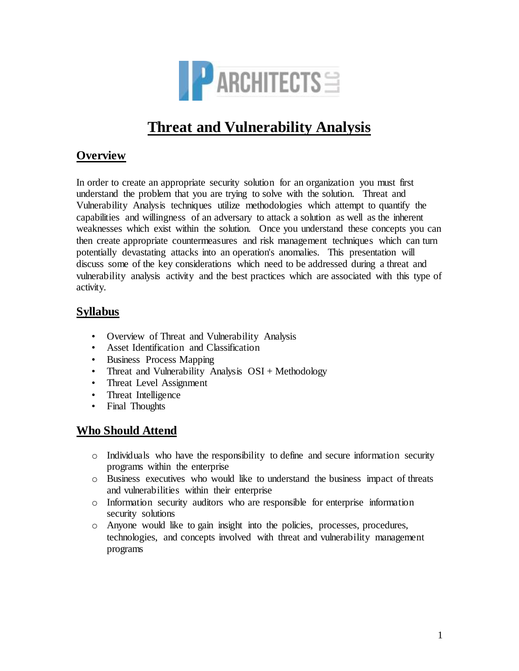

# **Threat and Vulnerability Analysis**

## **Overview**

In order to create an appropriate security solution for an organization you must first understand the problem that you are trying to solve with the solution. Threat and Vulnerability Analysis techniques utilize methodologies which attempt to quantify the capabilities and willingness of an adversary to attack a solution as well as the inherent weaknesses which exist within the solution. Once you understand these concepts you can then create appropriate countermeasures and risk management techniques which can turn potentially devastating attacks into an operation's anomalies. This presentation will discuss some of the key considerations which need to be addressed during a threat and vulnerability analysis activity and the best practices which are associated with this type of activity.

## **Syllabus**

- Overview of Threat and Vulnerability Analysis
- Asset Identification and Classification
- Business Process Mapping
- Threat and Vulnerability Analysis OSI + Methodology
- Threat Level Assignment
- Threat Intelligence
- Final Thoughts

## **Who Should Attend**

- o Individuals who have the responsibility to define and secure information security programs within the enterprise
- o Business executives who would like to understand the business impact of threats and vulnerabilities within their enterprise
- o Information security auditors who are responsible for enterprise information security solutions
- o Anyone would like to gain insight into the policies, processes, procedures, technologies, and concepts involved with threat and vulnerability management programs